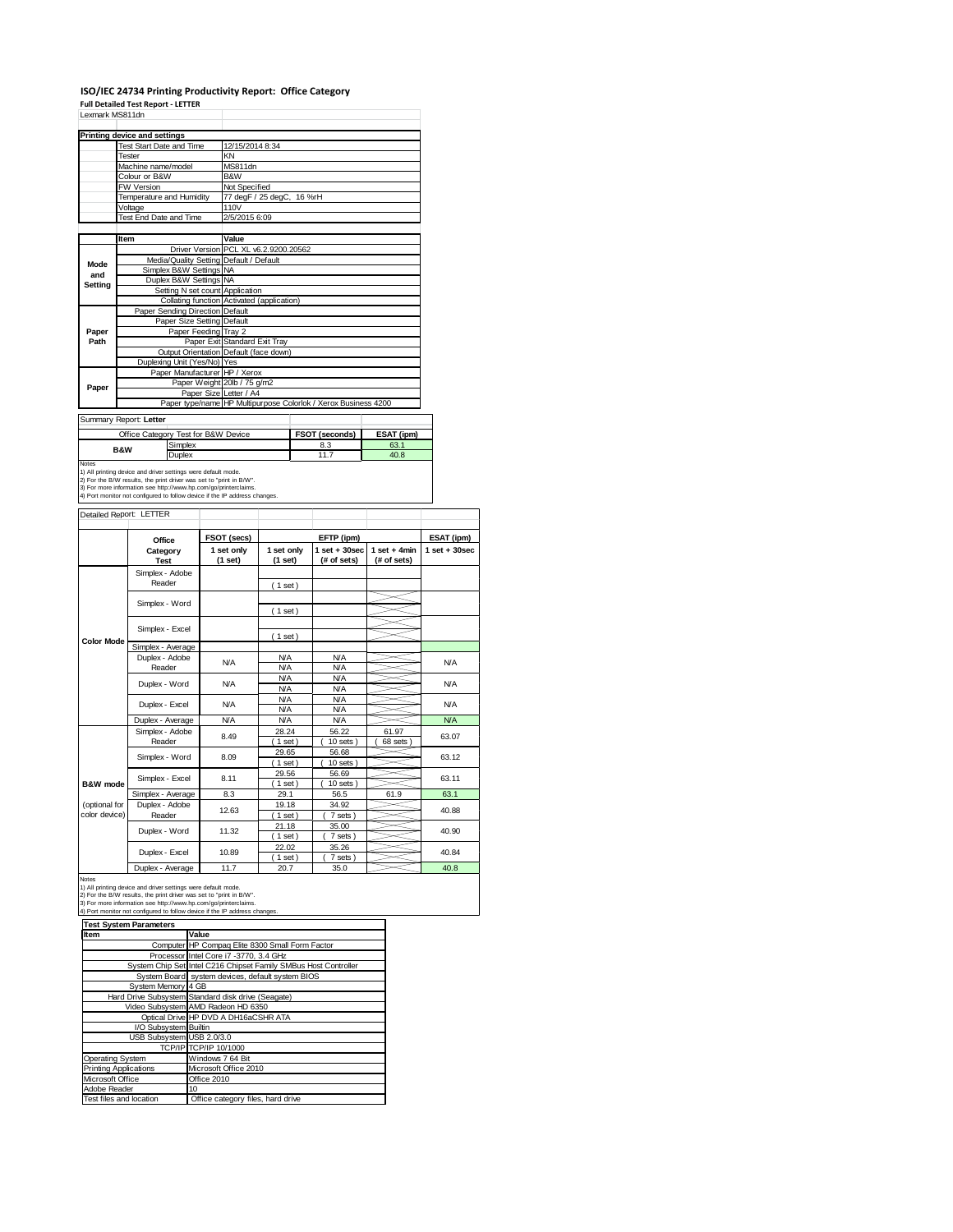## **ISO/IEC 24734 Printing Productivity Report: Office Category**

|                                                       | Printing device and settings                                                                                                                                                                                                                                                                                     |  |                                       |                  |  |                                                                |                    |                  |
|-------------------------------------------------------|------------------------------------------------------------------------------------------------------------------------------------------------------------------------------------------------------------------------------------------------------------------------------------------------------------------|--|---------------------------------------|------------------|--|----------------------------------------------------------------|--------------------|------------------|
|                                                       | <b>Test Start Date and Time</b>                                                                                                                                                                                                                                                                                  |  | 12/15/2014 8:34                       |                  |  |                                                                |                    |                  |
|                                                       | Tester                                                                                                                                                                                                                                                                                                           |  | KN                                    |                  |  |                                                                |                    |                  |
|                                                       | Machine name/model                                                                                                                                                                                                                                                                                               |  | MS811dn                               |                  |  |                                                                |                    |                  |
|                                                       | Colour or B&W                                                                                                                                                                                                                                                                                                    |  | <b>B&amp;W</b>                        |                  |  |                                                                |                    |                  |
|                                                       | FW Version                                                                                                                                                                                                                                                                                                       |  | Not Specified                         |                  |  |                                                                |                    |                  |
|                                                       | <b>Temperature and Humidity</b>                                                                                                                                                                                                                                                                                  |  | 77 degF / 25 degC, 16 %rH             |                  |  |                                                                |                    |                  |
|                                                       | Voltage                                                                                                                                                                                                                                                                                                          |  | 110V                                  |                  |  |                                                                |                    |                  |
|                                                       | Test End Date and Time                                                                                                                                                                                                                                                                                           |  | 2/5/2015 6:09                         |                  |  |                                                                |                    |                  |
|                                                       |                                                                                                                                                                                                                                                                                                                  |  |                                       |                  |  |                                                                |                    |                  |
|                                                       | Item                                                                                                                                                                                                                                                                                                             |  | Value                                 |                  |  |                                                                |                    |                  |
|                                                       |                                                                                                                                                                                                                                                                                                                  |  | Driver Version PCL XL v6.2.9200.20562 |                  |  |                                                                |                    |                  |
| Mode                                                  | Media/Quality Setting Default / Default                                                                                                                                                                                                                                                                          |  |                                       |                  |  |                                                                |                    |                  |
| and                                                   | Simplex B&W Settings NA<br>Duplex B&W Settings                                                                                                                                                                                                                                                                   |  | <b>NA</b>                             |                  |  |                                                                |                    |                  |
| Setting                                               | Setting N set count Application                                                                                                                                                                                                                                                                                  |  |                                       |                  |  |                                                                |                    |                  |
|                                                       | Collating function Activated (application)                                                                                                                                                                                                                                                                       |  |                                       |                  |  |                                                                |                    |                  |
|                                                       | Paper Sending Direction Default                                                                                                                                                                                                                                                                                  |  |                                       |                  |  |                                                                |                    |                  |
|                                                       | Paper Size Setting Default                                                                                                                                                                                                                                                                                       |  |                                       |                  |  |                                                                |                    |                  |
| Paper                                                 | Paper Feeding Tray 2                                                                                                                                                                                                                                                                                             |  |                                       |                  |  |                                                                |                    |                  |
| Path                                                  |                                                                                                                                                                                                                                                                                                                  |  | Paper Exit Standard Exit Tray         |                  |  |                                                                |                    |                  |
|                                                       | Output Orientation Default (face down)                                                                                                                                                                                                                                                                           |  |                                       |                  |  |                                                                |                    |                  |
|                                                       | Duplexing Unit (Yes/No) Yes                                                                                                                                                                                                                                                                                      |  |                                       |                  |  |                                                                |                    |                  |
|                                                       | Paper Manufacturer HP / Xerox                                                                                                                                                                                                                                                                                    |  |                                       |                  |  |                                                                |                    |                  |
| Paper                                                 |                                                                                                                                                                                                                                                                                                                  |  | Paper Weight 20lb / 75 g/m2           |                  |  |                                                                |                    |                  |
|                                                       |                                                                                                                                                                                                                                                                                                                  |  | Paper Size Letter / A4                |                  |  |                                                                |                    |                  |
|                                                       |                                                                                                                                                                                                                                                                                                                  |  |                                       |                  |  | Paper type/name HP Multipurpose Colorlok / Xerox Business 4200 |                    |                  |
|                                                       | Summary Report: Letter                                                                                                                                                                                                                                                                                           |  |                                       |                  |  |                                                                |                    |                  |
|                                                       |                                                                                                                                                                                                                                                                                                                  |  |                                       |                  |  |                                                                |                    |                  |
|                                                       | Office Category Test for B&W Device<br>Simplex                                                                                                                                                                                                                                                                   |  |                                       |                  |  | FSOT (seconds)<br>8.3                                          | ESAT (ipm)<br>63.1 |                  |
|                                                       | B&W                                                                                                                                                                                                                                                                                                              |  |                                       |                  |  | 11.7                                                           | 40.8               |                  |
|                                                       | Duplex                                                                                                                                                                                                                                                                                                           |  |                                       |                  |  |                                                                |                    |                  |
|                                                       | 1) All printing device and driver settings were default mode.<br>2) For the B/W results, the print driver was set to "print in B/W".<br>3) For more information see http://www.hp.com/go/printerclaims.<br>4) Port monitor not configured to follow device if the IP address changes.<br>Detailed Report: LETTER |  |                                       |                  |  |                                                                |                    |                  |
|                                                       |                                                                                                                                                                                                                                                                                                                  |  |                                       |                  |  |                                                                |                    |                  |
|                                                       | Office                                                                                                                                                                                                                                                                                                           |  | FSOT (secs)                           |                  |  | EFTP (ipm)                                                     |                    | ESAT (ipm)       |
|                                                       | Category                                                                                                                                                                                                                                                                                                         |  | 1 set only                            | 1 set only       |  | $1$ set $+30$ sec                                              | $1 set + 4 min$    | $1 set + 30 sec$ |
|                                                       | <b>Test</b>                                                                                                                                                                                                                                                                                                      |  | (1 set)                               | (1 set)          |  | (# of sets)                                                    | (# of sets)        |                  |
|                                                       | Simplex - Adobe                                                                                                                                                                                                                                                                                                  |  |                                       |                  |  |                                                                |                    |                  |
|                                                       | Reader                                                                                                                                                                                                                                                                                                           |  |                                       | (1 set)          |  |                                                                |                    |                  |
|                                                       |                                                                                                                                                                                                                                                                                                                  |  |                                       |                  |  |                                                                |                    |                  |
| <b>Notes</b>                                          | Simplex - Word                                                                                                                                                                                                                                                                                                   |  |                                       |                  |  |                                                                |                    |                  |
|                                                       |                                                                                                                                                                                                                                                                                                                  |  |                                       | (1 set)          |  |                                                                |                    |                  |
|                                                       | Simplex - Excel                                                                                                                                                                                                                                                                                                  |  |                                       |                  |  |                                                                |                    |                  |
|                                                       |                                                                                                                                                                                                                                                                                                                  |  |                                       | (1 set)          |  |                                                                |                    |                  |
| <b>Color Mode</b>                                     | Simplex - Average                                                                                                                                                                                                                                                                                                |  |                                       |                  |  |                                                                |                    |                  |
|                                                       | Duplex - Adobe                                                                                                                                                                                                                                                                                                   |  | N/A                                   | <b>N/A</b>       |  | <b>N/A</b>                                                     |                    | <b>N/A</b>       |
|                                                       | Reader                                                                                                                                                                                                                                                                                                           |  |                                       | <b>N/A</b>       |  | <b>N/A</b>                                                     |                    |                  |
|                                                       | Duplex - Word                                                                                                                                                                                                                                                                                                    |  | <b>N/A</b>                            | <b>N/A</b>       |  | <b>N/A</b>                                                     |                    | <b>N/A</b>       |
|                                                       |                                                                                                                                                                                                                                                                                                                  |  |                                       | <b>N/A</b>       |  | <b>N/A</b>                                                     |                    |                  |
|                                                       | Duplex - Excel                                                                                                                                                                                                                                                                                                   |  | N/A                                   | <b>N/A</b>       |  | <b>N/A</b>                                                     |                    | <b>N/A</b>       |
|                                                       |                                                                                                                                                                                                                                                                                                                  |  | <b>N/A</b>                            | <b>N/A</b>       |  | <b>N/A</b>                                                     |                    | <b>N/A</b>       |
|                                                       | Duplex - Average<br>Simplex - Adobe                                                                                                                                                                                                                                                                              |  |                                       | N/A<br>28.24     |  | <b>N/A</b><br>56.22                                            | 61.97              |                  |
|                                                       | Reader                                                                                                                                                                                                                                                                                                           |  | 8.49                                  | (1 set)          |  | $10$ sets)                                                     | 68 sets)           | 63.07            |
|                                                       |                                                                                                                                                                                                                                                                                                                  |  |                                       | 29.65            |  | 56.68                                                          |                    |                  |
|                                                       | Simplex - Word                                                                                                                                                                                                                                                                                                   |  | 8.09                                  | (1 set)          |  | $10$ sets $)$                                                  |                    | 63.12            |
|                                                       |                                                                                                                                                                                                                                                                                                                  |  |                                       | 29.56            |  | 56.69                                                          |                    |                  |
|                                                       | Simplex - Excel                                                                                                                                                                                                                                                                                                  |  | 8.11                                  | $1$ set)         |  | $10$ sets)                                                     |                    | 63.11            |
|                                                       | Simplex - Average                                                                                                                                                                                                                                                                                                |  | 8.3                                   | 29.1             |  | 56.5                                                           | 61.9               | 63.1             |
|                                                       | Duplex - Adobe                                                                                                                                                                                                                                                                                                   |  |                                       | 19.18            |  | 34.92                                                          |                    |                  |
|                                                       | Reader                                                                                                                                                                                                                                                                                                           |  | 12.63                                 | $1$ set)         |  | 7 sets)                                                        |                    | 40.88            |
|                                                       | Duplex - Word                                                                                                                                                                                                                                                                                                    |  | 11.32                                 | 21.18            |  | 35.00                                                          |                    | 40.90            |
| <b>B&amp;W</b> mode<br>(optional for<br>color device) |                                                                                                                                                                                                                                                                                                                  |  |                                       | $1$ set)         |  | 7 sets)                                                        |                    |                  |
|                                                       | Duplex - Excel                                                                                                                                                                                                                                                                                                   |  | 10.89                                 | 22.02            |  | 35.26                                                          |                    | 40.84            |
|                                                       | Duplex - Average                                                                                                                                                                                                                                                                                                 |  | 11.7                                  | $1$ set)<br>20.7 |  | 7 sets)<br>35.0                                                |                    | 40.8             |

3) For more information see http://www.hp.com/go/printerclaims. 4) Port monitor not configured to follow device if the IP address changes.

| <b>Test System Parameters</b> |                                                                 |  |  |  |
|-------------------------------|-----------------------------------------------------------------|--|--|--|
| Item                          | Value                                                           |  |  |  |
|                               | Computer HP Compag Elite 8300 Small Form Factor                 |  |  |  |
|                               | Processor Intel Core i7 -3770, 3.4 GHz                          |  |  |  |
|                               | System Chip Set Intel C216 Chipset Family SMBus Host Controller |  |  |  |
|                               | System Board system devices, default system BIOS                |  |  |  |
| System Memory 4 GB            |                                                                 |  |  |  |
|                               | Hard Drive Subsystem Standard disk drive (Seagate)              |  |  |  |
|                               | Video Subsystem AMD Radeon HD 6350                              |  |  |  |
|                               | Optical Drive HP DVD A DH16aCSHR ATA                            |  |  |  |
| I/O Subsystem Builtin         |                                                                 |  |  |  |
| USB Subsystem USB 2.0/3.0     |                                                                 |  |  |  |
|                               | TCP/IP TCP/IP 10/1000                                           |  |  |  |
| <b>Operating System</b>       | Windows 7 64 Bit                                                |  |  |  |
| <b>Printing Applications</b>  | Microsoft Office 2010                                           |  |  |  |
| Microsoft Office              | Office 2010                                                     |  |  |  |
| Adobe Reader                  | 10                                                              |  |  |  |
| Test files and location       | Office category files, hard drive                               |  |  |  |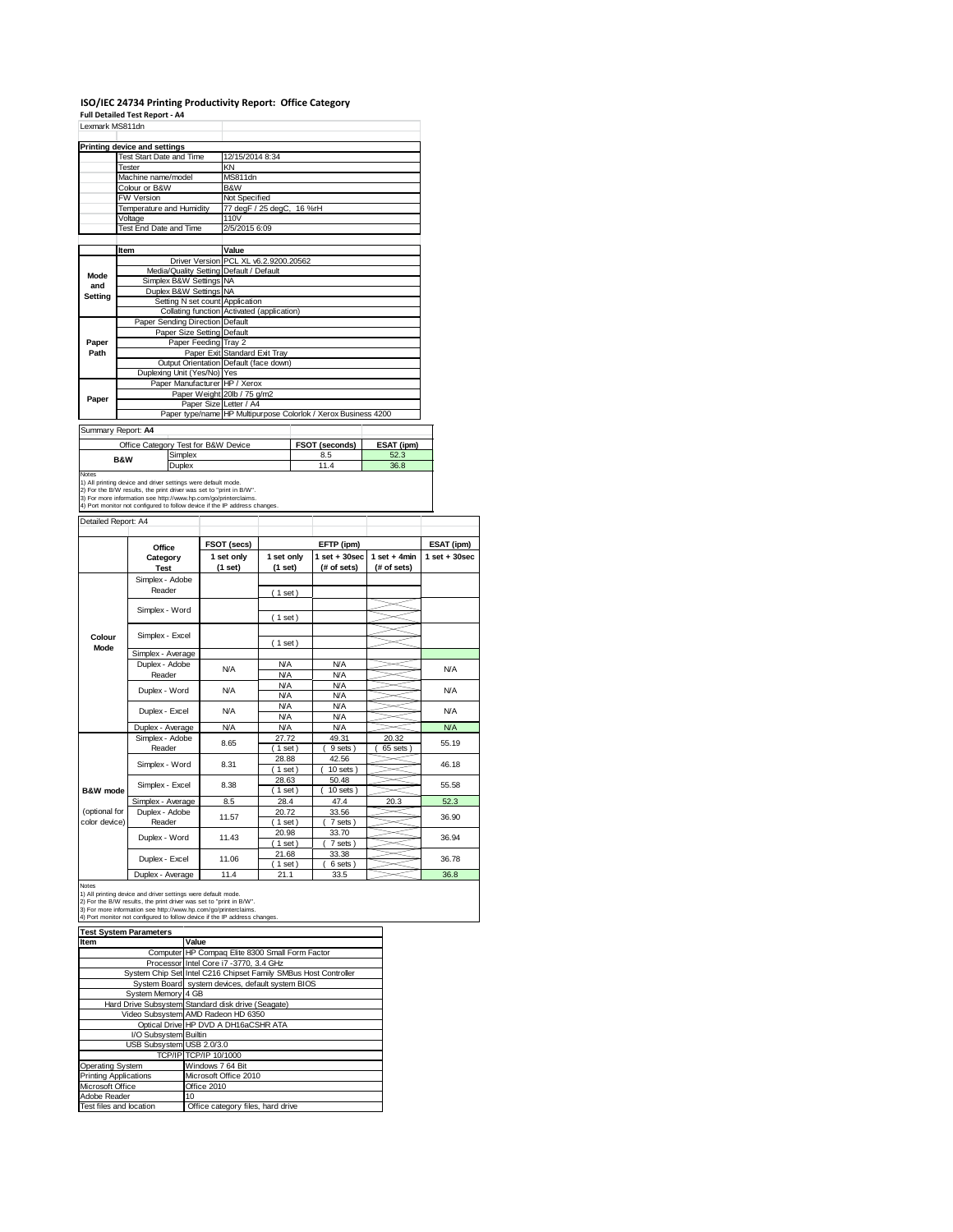#### **ISO/IEC 24734 Printing Productivity Report: Office Category**

**Full Detailed Test Report ‐ A4**

|                                                       | Printing device and settings                                                                                                                                                                                                                |                                               |                                       |                          |  |                                                |                                |                   |
|-------------------------------------------------------|---------------------------------------------------------------------------------------------------------------------------------------------------------------------------------------------------------------------------------------------|-----------------------------------------------|---------------------------------------|--------------------------|--|------------------------------------------------|--------------------------------|-------------------|
|                                                       | <b>Test Start Date and Time</b>                                                                                                                                                                                                             |                                               | 12/15/2014 8:34                       |                          |  |                                                |                                |                   |
|                                                       | <b>Tester</b>                                                                                                                                                                                                                               | KN                                            |                                       |                          |  |                                                |                                |                   |
|                                                       | Machine name/model<br>Colour or B&W                                                                                                                                                                                                         | MS811dn<br>B&W                                |                                       |                          |  |                                                |                                |                   |
|                                                       | FW Version                                                                                                                                                                                                                                  |                                               |                                       |                          |  |                                                |                                |                   |
|                                                       | Temperature and Humidity                                                                                                                                                                                                                    | Not Specified<br>77 degF / 25 degC,<br>16 %rH |                                       |                          |  |                                                |                                |                   |
|                                                       | Voltage                                                                                                                                                                                                                                     |                                               | 110V                                  |                          |  |                                                |                                |                   |
|                                                       | Test End Date and Time                                                                                                                                                                                                                      |                                               | 2/5/2015 6:09                         |                          |  |                                                |                                |                   |
|                                                       | Item                                                                                                                                                                                                                                        |                                               | Value                                 |                          |  |                                                |                                |                   |
|                                                       |                                                                                                                                                                                                                                             |                                               | Driver Version PCL XL v6.2.9200.20562 |                          |  |                                                |                                |                   |
| Mode                                                  | Media/Quality Setting Default / Default                                                                                                                                                                                                     |                                               |                                       |                          |  |                                                |                                |                   |
| and                                                   | Simplex B&W Settings NA                                                                                                                                                                                                                     |                                               |                                       |                          |  |                                                |                                |                   |
| <b>Setting</b>                                        | Duplex B&W Settings<br>Setting N set count                                                                                                                                                                                                  |                                               | <b>NA</b><br>Application              |                          |  |                                                |                                |                   |
|                                                       | Collating function                                                                                                                                                                                                                          |                                               | Activated (application)               |                          |  |                                                |                                |                   |
|                                                       | Paper Sending Direction Default                                                                                                                                                                                                             |                                               |                                       |                          |  |                                                |                                |                   |
|                                                       | Paper Size Setting Default                                                                                                                                                                                                                  |                                               |                                       |                          |  |                                                |                                |                   |
| Paper                                                 | Paper Feeding Tray 2                                                                                                                                                                                                                        |                                               |                                       |                          |  |                                                |                                |                   |
| Path                                                  |                                                                                                                                                                                                                                             |                                               | Paper Exit Standard Exit Tray         |                          |  |                                                |                                |                   |
|                                                       | Output Orientation Default (face down)                                                                                                                                                                                                      |                                               |                                       |                          |  |                                                |                                |                   |
|                                                       | Duplexing Unit (Yes/No) Yes                                                                                                                                                                                                                 |                                               |                                       |                          |  |                                                |                                |                   |
|                                                       | Paper Manufacturer HP / Xerox                                                                                                                                                                                                               |                                               | Paper Weight 20lb / 75 g/m2           |                          |  |                                                |                                |                   |
| Paper                                                 |                                                                                                                                                                                                                                             | Paper Size                                    | Letter / A4                           |                          |  |                                                |                                |                   |
|                                                       | Paper type/name                                                                                                                                                                                                                             |                                               |                                       |                          |  | HP Multipurpose Colorlok / Xerox Business 4200 |                                |                   |
|                                                       | Summary Report: A4                                                                                                                                                                                                                          |                                               |                                       |                          |  |                                                |                                |                   |
|                                                       | Office Category Test for B&W Device                                                                                                                                                                                                         |                                               |                                       |                          |  | FSOT (seconds)                                 | ESAT (ipm)                     |                   |
|                                                       | Simplex<br><b>B&amp;W</b><br>Duplex                                                                                                                                                                                                         |                                               |                                       |                          |  | 8.5                                            | 52.3                           |                   |
|                                                       |                                                                                                                                                                                                                                             |                                               |                                       |                          |  | 11.4                                           | 36.8                           |                   |
|                                                       | 1) All printing device and driver settings were default mode                                                                                                                                                                                |                                               |                                       |                          |  |                                                |                                |                   |
| Notes                                                 | 2) For the B/W results, the print driver was set to "print in B/W".<br>3) For more information see http://www.hp.com/go/printerclaims.<br>4) Port monitor not configured to follow device if the IP address changes.<br>Detailed Report: A4 |                                               |                                       |                          |  |                                                |                                |                   |
|                                                       |                                                                                                                                                                                                                                             |                                               |                                       |                          |  |                                                |                                |                   |
|                                                       | Office                                                                                                                                                                                                                                      |                                               | FSOT (secs)                           |                          |  | EFTP (ipm)                                     |                                | ESAT (ipm)        |
|                                                       | Category                                                                                                                                                                                                                                    |                                               | 1 set only                            | 1 set only               |  | $1$ set $+30$ sec                              | $1 set + 4 min$<br>(# of sets) | $1$ set $+30$ sec |
|                                                       | <b>Test</b><br>Simplex - Adobe                                                                                                                                                                                                              |                                               | (1 set)                               | (1 set)                  |  | (# of sets)                                    |                                |                   |
|                                                       | Reader                                                                                                                                                                                                                                      |                                               |                                       |                          |  |                                                |                                |                   |
|                                                       |                                                                                                                                                                                                                                             |                                               |                                       | (1 set)                  |  |                                                |                                |                   |
|                                                       | Simplex - Word                                                                                                                                                                                                                              |                                               |                                       |                          |  |                                                |                                |                   |
|                                                       |                                                                                                                                                                                                                                             |                                               |                                       | (1 set)                  |  |                                                |                                |                   |
|                                                       |                                                                                                                                                                                                                                             |                                               |                                       |                          |  |                                                |                                |                   |
| Colour<br>Mode                                        | Simplex - Excel                                                                                                                                                                                                                             |                                               |                                       | (1 set)                  |  |                                                |                                |                   |
|                                                       | Simplex - Average                                                                                                                                                                                                                           |                                               |                                       |                          |  |                                                |                                |                   |
|                                                       | Duplex - Adobe                                                                                                                                                                                                                              |                                               | N/A                                   | <b>N/A</b>               |  | <b>N/A</b>                                     |                                | <b>N/A</b>        |
|                                                       | Reader                                                                                                                                                                                                                                      |                                               |                                       | <b>N/A</b>               |  | <b>N/A</b>                                     |                                |                   |
|                                                       | Duplex - Word                                                                                                                                                                                                                               |                                               | N/A                                   | <b>N/A</b>               |  | <b>N/A</b>                                     |                                | <b>N/A</b>        |
|                                                       |                                                                                                                                                                                                                                             |                                               |                                       | <b>N/A</b>               |  | <b>N/A</b>                                     |                                |                   |
|                                                       | Duplex - Excel                                                                                                                                                                                                                              |                                               | N/A                                   | <b>N/A</b><br><b>N/A</b> |  | <b>N/A</b><br><b>N/A</b>                       |                                | <b>N/A</b>        |
|                                                       |                                                                                                                                                                                                                                             |                                               | N/A                                   | <b>N/A</b>               |  | <b>N/A</b>                                     |                                | <b>N/A</b>        |
|                                                       | Duplex - Average<br>Simplex - Adobe                                                                                                                                                                                                         |                                               |                                       | 27.72                    |  | 49.31                                          | 20.32                          |                   |
|                                                       | Reader                                                                                                                                                                                                                                      |                                               | 8.65                                  | 1 set                    |  | 9 sets                                         | $65$ sets $)$                  | 55.19             |
|                                                       |                                                                                                                                                                                                                                             |                                               | 8.31                                  | 28.88                    |  | 42.56                                          |                                | 46.18             |
|                                                       | Simplex - Word                                                                                                                                                                                                                              |                                               |                                       | $1$ set)                 |  | 10 sets                                        |                                |                   |
|                                                       | Simplex - Excel                                                                                                                                                                                                                             |                                               | 8.38                                  | 28.63                    |  | 50.48                                          |                                | 55.58             |
|                                                       |                                                                                                                                                                                                                                             |                                               |                                       | $1$ set)                 |  | $10$ sets                                      |                                |                   |
|                                                       | Simplex - Average                                                                                                                                                                                                                           |                                               | 8.5                                   | 28.4                     |  | 47.4                                           | 20.3                           | 52.3              |
|                                                       | Duplex - Adobe                                                                                                                                                                                                                              |                                               | 11.57                                 | 20.72                    |  | 33.56                                          |                                | 36.90             |
|                                                       | Reader                                                                                                                                                                                                                                      |                                               |                                       | $1$ set)                 |  | 7 sets                                         |                                |                   |
|                                                       | Duplex - Word                                                                                                                                                                                                                               |                                               | 11.43                                 | 20.98                    |  | 33.70                                          |                                | 36.94             |
|                                                       |                                                                                                                                                                                                                                             |                                               |                                       | (1 set)<br>21.68         |  | 7 sets)<br>33.38                               |                                |                   |
| <b>B&amp;W</b> mode<br>(optional for<br>color device) | Duplex - Excel                                                                                                                                                                                                                              |                                               | 11.06                                 | (1 set)                  |  | 6 sets                                         |                                | 36.78             |

**Item Value** Computer HP Compaq Elite 8300 Small Form Factor Processor Intel Core i7 -3770, 3.4 GHz<br>System Chip Set Intel C216 Chipset Family SMBus Host Controller System Board system devices, default system BIOS System Memory 4 GB Hard Drive Subsystem Standard disk drive (Seagate)<br>Video Subsystem AMD Radeon HD 6350<br>Optical Drive HP DVD A DH16aCSHR ATA<br>VO Subsystem Builtin<br>USB Subsystem USB 2.0/3.0 TCP/IP TCP/IP 10/1000 Operating System Windows 7 64 Bit Printing Applications Microsoft Office 2010 Microsoft Office **Office 2010** Adobe Reader 10 Test files and location Office category files, hard drive **Test System Parameters**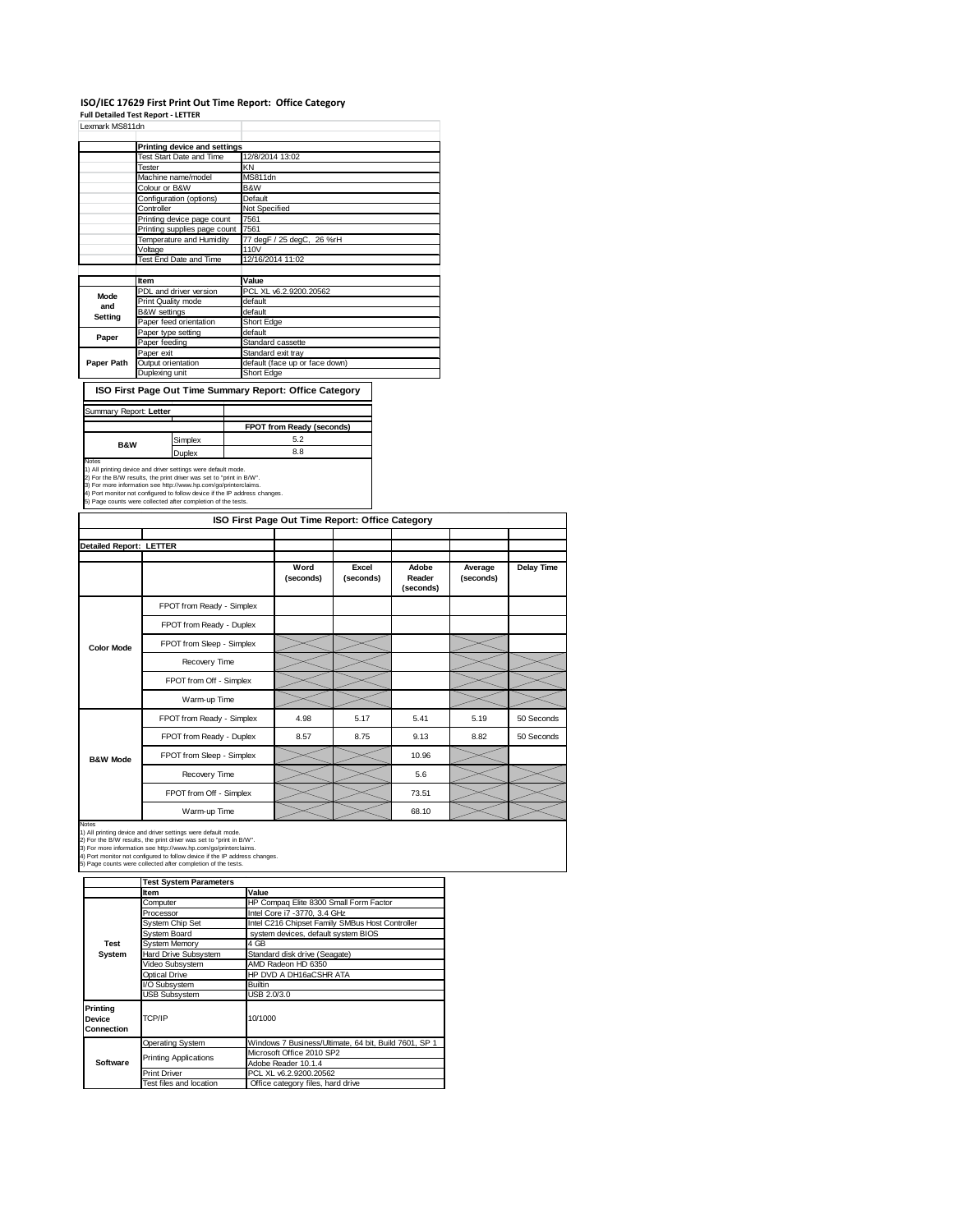### **ISO/IEC 17629 First Print Out Time Report: Office Category**

**Full Detailed Test Report ‐ LETTER** Lexmark MS811dn

| Lexmark MS8110n |                              |                                |  |  |  |  |
|-----------------|------------------------------|--------------------------------|--|--|--|--|
|                 | Printing device and settings |                                |  |  |  |  |
|                 | Test Start Date and Time     | 12/8/2014 13:02                |  |  |  |  |
|                 | Tester                       | KN                             |  |  |  |  |
|                 | Machine name/model           | MS811dn                        |  |  |  |  |
|                 | Colour or B&W                | B&W                            |  |  |  |  |
|                 | Configuration (options)      | Default                        |  |  |  |  |
|                 | Controller                   | Not Specified                  |  |  |  |  |
|                 | Printing device page count   | 7561                           |  |  |  |  |
|                 | Printing supplies page count | 7561                           |  |  |  |  |
|                 | Temperature and Humidity     | 77 degF / 25 degC, 26 %rH      |  |  |  |  |
|                 | Voltage                      | 110V                           |  |  |  |  |
|                 | Test End Date and Time       | 12/16/2014 11:02               |  |  |  |  |
|                 |                              |                                |  |  |  |  |
|                 | Item                         | Value                          |  |  |  |  |
| Mode            | PDL and driver version       | PCL XL v6.2.9200.20562         |  |  |  |  |
| and             | Print Quality mode           | default                        |  |  |  |  |
| Setting         | <b>B&amp;W</b> settings      | default                        |  |  |  |  |
|                 | Paper feed orientation       | Short Edge                     |  |  |  |  |
| Paper           | Paper type setting           | default                        |  |  |  |  |
|                 | Paper feeding                | Standard cassette              |  |  |  |  |
|                 | Paper exit                   | Standard exit tray             |  |  |  |  |
| Paper Path      | Output orientation           | default (face up or face down) |  |  |  |  |
|                 | Duplexing unit               | Short Edge                     |  |  |  |  |

# **ISO First Page Out Time Summary Report: Office Category**

| Summary Report: Letter                                                                                                                                                                                                                                                                                                                                                |               |                           |  |
|-----------------------------------------------------------------------------------------------------------------------------------------------------------------------------------------------------------------------------------------------------------------------------------------------------------------------------------------------------------------------|---------------|---------------------------|--|
|                                                                                                                                                                                                                                                                                                                                                                       |               | FPOT from Ready (seconds) |  |
| <b>B&amp;W</b>                                                                                                                                                                                                                                                                                                                                                        | Simplex       | 5.2                       |  |
|                                                                                                                                                                                                                                                                                                                                                                       | <b>Duplex</b> | 8.8                       |  |
| <b>Notes</b><br>1) All printing device and driver settings were default mode.<br>2) For the B/W results, the print driver was set to "print in B/W".<br>3) For more information see http://www.hp.com/go/printerclaims.<br>4) Port monitor not configured to follow device if the IP address changes.<br>5) Page counts were collected after completion of the tests. |               |                           |  |

| ISO First Page Out Time Report: Office Category |                           |                   |                    |                              |                      |                   |
|-------------------------------------------------|---------------------------|-------------------|--------------------|------------------------------|----------------------|-------------------|
| <b>Detailed Report: LETTER</b>                  |                           |                   |                    |                              |                      |                   |
|                                                 |                           | Word<br>(seconds) | Excel<br>(seconds) | Adobe<br>Reader<br>(seconds) | Average<br>(seconds) | <b>Delay Time</b> |
|                                                 | FPOT from Ready - Simplex |                   |                    |                              |                      |                   |
|                                                 | FPOT from Ready - Duplex  |                   |                    |                              |                      |                   |
| <b>Color Mode</b>                               | FPOT from Sleep - Simplex |                   |                    |                              |                      |                   |
|                                                 | Recovery Time             |                   |                    |                              |                      |                   |
|                                                 | FPOT from Off - Simplex   |                   |                    |                              |                      |                   |
|                                                 | Warm-up Time              |                   |                    |                              |                      |                   |
|                                                 | FPOT from Ready - Simplex | 4.98              | 5.17               | 5.41                         | 5.19                 | 50 Seconds        |
|                                                 | FPOT from Ready - Duplex  | 8.57              | 8.75               | 9.13                         | 8.82                 | 50 Seconds        |
| <b>B&amp;W Mode</b>                             | FPOT from Sleep - Simplex |                   |                    | 10.96                        |                      |                   |
|                                                 | Recovery Time             |                   |                    | 5.6                          |                      |                   |
|                                                 | FPOT from Off - Simplex   |                   |                    | 73.51                        |                      |                   |
|                                                 | Warm-up Time              |                   |                    | 68.10                        |                      |                   |

Notes<br>1) All printing device and driver settings were default mode.<br>2) For the B/W results, the print driver was set to "print in B/W".<br>3) For more information see http://www.hp.com/go/printerclaims.<br>4) Port monitor not co

|                                  | <b>Test System Parameters</b> |                                                       |  |  |  |  |
|----------------------------------|-------------------------------|-------------------------------------------------------|--|--|--|--|
|                                  | Item                          | Value                                                 |  |  |  |  |
|                                  | Computer                      | HP Compaq Elite 8300 Small Form Factor                |  |  |  |  |
|                                  | Processor                     | Intel Core i7 -3770, 3.4 GHz                          |  |  |  |  |
|                                  | <b>System Chip Set</b>        | Intel C216 Chipset Family SMBus Host Controller       |  |  |  |  |
|                                  | System Board                  | system devices, default system BIOS                   |  |  |  |  |
| <b>Test</b>                      | <b>System Memory</b>          | 4 GB                                                  |  |  |  |  |
| System                           | Hard Drive Subsystem          | Standard disk drive (Seagate)                         |  |  |  |  |
|                                  | Video Subsystem               | AMD Radeon HD 6350                                    |  |  |  |  |
|                                  | <b>Optical Drive</b>          | HP DVD A DH16aCSHR ATA                                |  |  |  |  |
|                                  | I/O Subsystem                 | <b>Builtin</b>                                        |  |  |  |  |
|                                  | <b>USB Subsystem</b>          | USB 2.0/3.0                                           |  |  |  |  |
| Printing<br>Device<br>Connection | TCP/IP                        | 10/1000                                               |  |  |  |  |
|                                  | <b>Operating System</b>       | Windows 7 Business/Ultimate, 64 bit, Build 7601, SP 1 |  |  |  |  |
|                                  | <b>Printing Applications</b>  | Microsoft Office 2010 SP2                             |  |  |  |  |
| <b>Software</b>                  |                               | Adobe Reader 10.1.4                                   |  |  |  |  |
|                                  | <b>Print Driver</b>           | PCL XL v6.2.9200.20562                                |  |  |  |  |
|                                  | Test files and location       | Office category files, hard drive                     |  |  |  |  |